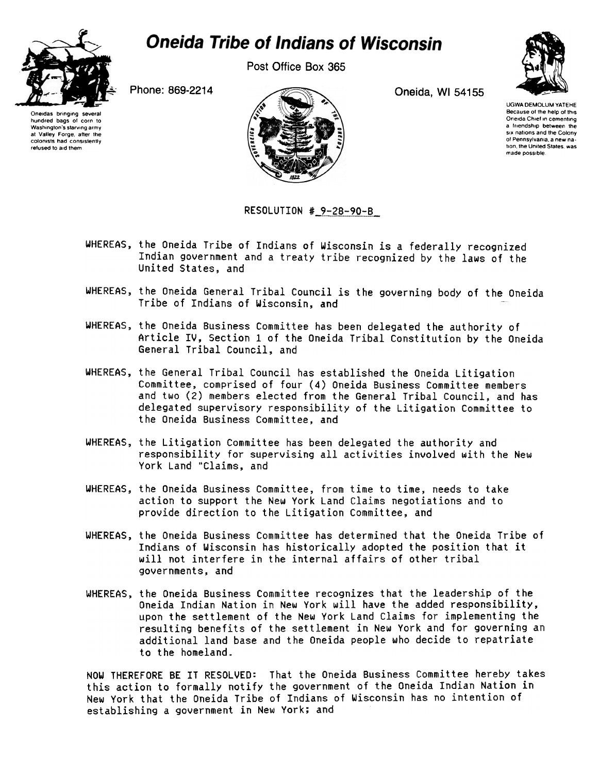

## **Oneida Tribe of Indians of Wisconsin**

Post Office Box 365



Oneidas bringing several hundred bags of corn to Washington's starving army at Valley Forge, alter the colonists had consistently refused to aid them



UGWA DEMOLUM YATEHE Because of the help of this Oneida Chief in cementing a friendship between the six nations and the Colony of Pennsylvania, a new na tion, the United States, was made possible.

## RESOLUTION # 9-28-90-B

- WHEREAS, the Oneida Tribe of Indians of Wisconsin is a federally recognized Indian government and a treaty tribe recognized by the laws of the United States, and
- WHEREAS, the Oneida General Tribal Council is the governing body of the Oneida Tribe of Indians of Wisconsin, and
- WHEREAS, the Oneida Business Committee has been delegated the authority of Article IV, Section 1 of the Oneida Tribal Constitution by the Oneida General Tribal Council, and
- WHEREAS, the General Tribal Council has established the Oneida Litigation Committee, comprised of four (4) Oneida Business Committee members and two (2) members elected from the General Tribal Council, and has delegated supervisory responsibility of the Litigation Committee to the Oneida Business Committee, and
- WHEREAS, the Litigation Committee has been delegated the authority and responsibility for supervising all activities involved with the New York Land "Claims, and
- WHEREAS, the Oneida Business Committee, from time to time, needs to take action to support the New York Land Claims negotiations and to provide direction to the Litigation Committee, and
- WHEREAS, the Oneida Business Committee has determined that the Oneida Tribe of Indians of Wisconsin has historically adopted the position that it will not interfere in the internal affairs of other tribal governments, and
- WHEREAS, the Oneida Business Committee recognizes that the leadership of the Oneida Indian Nation in New York will have the added responsibility, upon the settlement of the New York Land Claims for implementing the resulting benefits of the settlement in New York and for governing an additional land base and the Oneida people who decide to repatriate to the homeland.

NOW THEREFORE BE IT RESOLVED: That the Oneida Business Committee hereby takes this action to formally notify the government of the Oneida Indian Nation in New York that the Oneida Tribe of Indians of Wisconsin has no intention of establishing a government in New York; and